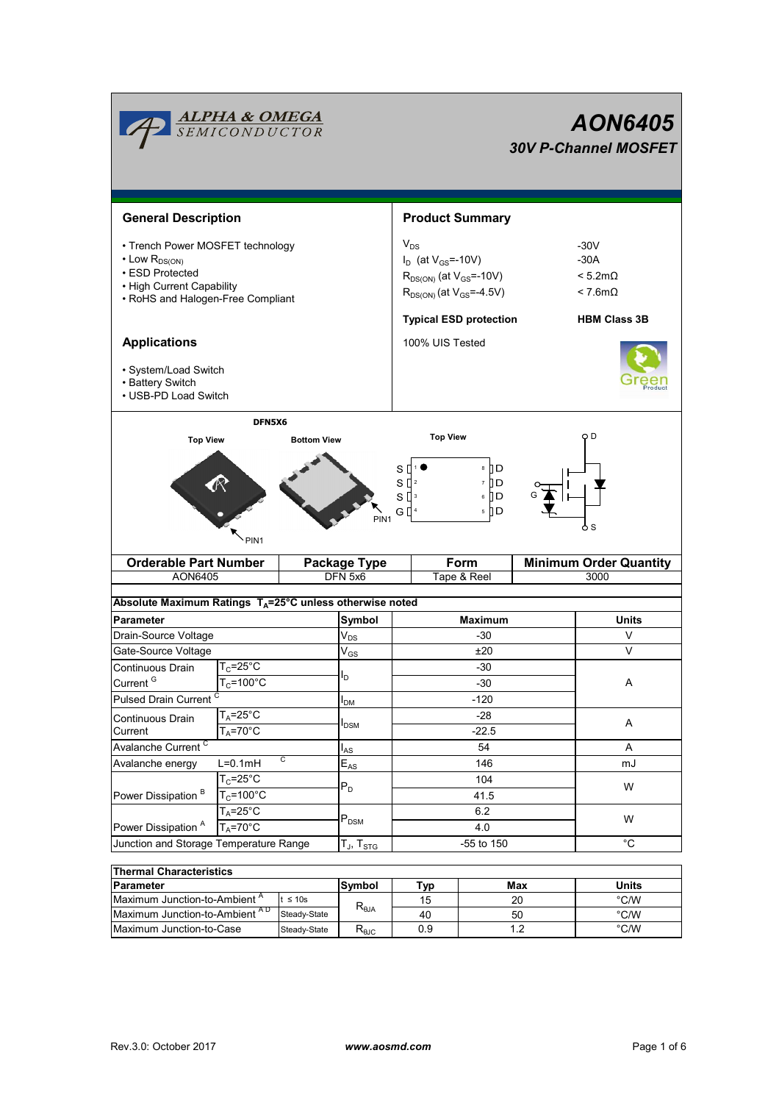|                                                                                                                                                   | <b>ALPHA &amp; OMEGA</b><br>SEMICONDUCTOR |                                                                                                                    |                                  |                                               |                                                                  |     | <b>AON6405</b><br><b>30V P-Channel MOSFET</b> |  |  |  |
|---------------------------------------------------------------------------------------------------------------------------------------------------|-------------------------------------------|--------------------------------------------------------------------------------------------------------------------|----------------------------------|-----------------------------------------------|------------------------------------------------------------------|-----|-----------------------------------------------|--|--|--|
| <b>General Description</b>                                                                                                                        |                                           |                                                                                                                    |                                  | <b>Product Summary</b>                        |                                                                  |     |                                               |  |  |  |
| • Trench Power MOSFET technology<br>$\cdot$ Low $R_{DS(ON)}$<br>• ESD Protected<br>• High Current Capability<br>• RoHS and Halogen-Free Compliant |                                           | $V_{DS}$<br>$I_D$ (at $V_{GS} = -10V$ )<br>$R_{DS(ON)}$ (at $V_{GS}$ =-10V)<br>$R_{DS(ON)}$ (at $V_{GS} = -4.5V$ ) |                                  |                                               | $-30V$<br>$-30A$<br>$< 5.2 \text{m}\Omega$<br>$< 7.6$ m $\Omega$ |     |                                               |  |  |  |
|                                                                                                                                                   |                                           |                                                                                                                    |                                  | <b>Typical ESD protection</b>                 |                                                                  |     | <b>HBM Class 3B</b>                           |  |  |  |
| <b>Applications</b><br>· System/Load Switch<br>• Battery Switch<br>• USB-PD Load Switch                                                           |                                           | 100% UIS Tested                                                                                                    |                                  |                                               |                                                                  |     |                                               |  |  |  |
| <b>Orderable Part Number</b>                                                                                                                      | PIN <sub>1</sub>                          |                                                                                                                    | PIN <sub>1</sub><br>Package Type | s<br>s₫<br>$S^{13}$<br>G []<br>$\overline{4}$ | ® ∏D<br>0 ∏ ז<br>6    D<br>5 II D<br>Form                        |     | $\circ$ S<br><b>Minimum Order Quantity</b>    |  |  |  |
| AON6405                                                                                                                                           |                                           |                                                                                                                    | DFN 5x6                          | Tape & Reel                                   |                                                                  |     | 3000                                          |  |  |  |
| Absolute Maximum Ratings $T_A = 25^\circ \text{C}$ unless otherwise noted                                                                         |                                           |                                                                                                                    |                                  |                                               |                                                                  |     |                                               |  |  |  |
| <b>Parameter</b>                                                                                                                                  |                                           |                                                                                                                    | Symbol                           | <b>Maximum</b>                                |                                                                  |     | <b>Units</b>                                  |  |  |  |
| Drain-Source Voltage                                                                                                                              |                                           |                                                                                                                    | $V_{DS}$                         | -30                                           |                                                                  |     | V                                             |  |  |  |
| Gate-Source Voltage                                                                                                                               |                                           |                                                                                                                    | $V_{GS}$                         | ±20                                           |                                                                  |     | V                                             |  |  |  |
| Continuous Drain                                                                                                                                  | $T_c = 25$ °C                             |                                                                                                                    | l <sub>D</sub>                   | -30                                           |                                                                  |     |                                               |  |  |  |
| Current <sup>G</sup>                                                                                                                              | $T_c = 100^{\circ}C$                      |                                                                                                                    |                                  | $-30$                                         |                                                                  |     |                                               |  |  |  |
|                                                                                                                                                   | Pulsed Drain Current <sup>C</sup>         |                                                                                                                    | <b>I</b> <sub>DM</sub>           | $-120$                                        |                                                                  |     |                                               |  |  |  |
| Continuous Drain                                                                                                                                  | $T_A = 25^\circ C$<br>$T_A = 70^\circ C$  |                                                                                                                    | $I_{DSM}$                        | $-28$<br>$-22.5$                              |                                                                  |     | A                                             |  |  |  |
| Current                                                                                                                                           |                                           |                                                                                                                    |                                  |                                               |                                                                  |     |                                               |  |  |  |
| Avalanche Current <sup>C</sup>                                                                                                                    |                                           |                                                                                                                    | $I_{AS}$                         | 54                                            |                                                                  |     | Α                                             |  |  |  |
| C<br>$L=0.1mH$<br>Avalanche energy                                                                                                                |                                           |                                                                                                                    | $E_{AS}$                         | 146                                           |                                                                  |     | mJ                                            |  |  |  |
| Power Dissipation <sup>B</sup>                                                                                                                    | $T_c = 25$ °C                             |                                                                                                                    | $P_D$                            | 104                                           |                                                                  |     | W                                             |  |  |  |
|                                                                                                                                                   | $T_c = 100^{\circ}C$                      |                                                                                                                    |                                  | 41.5                                          |                                                                  |     |                                               |  |  |  |
|                                                                                                                                                   | $T_A = 25^\circ C$                        |                                                                                                                    | $\mathsf{P}_\mathsf{DSM}$        | 6.2                                           |                                                                  |     | W                                             |  |  |  |
| Power Dissipation <sup>A</sup><br>$T_A = 70$ °C<br>Junction and Storage Temperature Range                                                         |                                           |                                                                                                                    |                                  | 4.0                                           |                                                                  |     |                                               |  |  |  |
|                                                                                                                                                   |                                           |                                                                                                                    | $T_J$ , $T_{STG}$                |                                               | -55 to 150                                                       |     | $^{\circ}C$                                   |  |  |  |
| <b>Thermal Characteristics</b>                                                                                                                    |                                           |                                                                                                                    |                                  |                                               |                                                                  |     |                                               |  |  |  |
| Parameter                                                                                                                                         |                                           |                                                                                                                    | Symbol                           | <b>Typ</b>                                    |                                                                  | Max | Units                                         |  |  |  |
| Maximum Junction-to-Ambient A<br>$t \leq 10s$                                                                                                     |                                           |                                                                                                                    | $R_{\theta JA}$                  | 15                                            |                                                                  | 20  | $^{\circ}$ C/W                                |  |  |  |
| Maximum Junction-to-Ambient AD<br>Steady-State                                                                                                    |                                           |                                                                                                                    |                                  | 40                                            |                                                                  | 50  | $^{\circ}$ C/W                                |  |  |  |

Maximum Junction-to-Case Steady-State R<sub>eJC</sub> 0.9 1.2 °C/W

0.9

50 1.2

Steady-State

Steady-State R<sub>θJC</sub>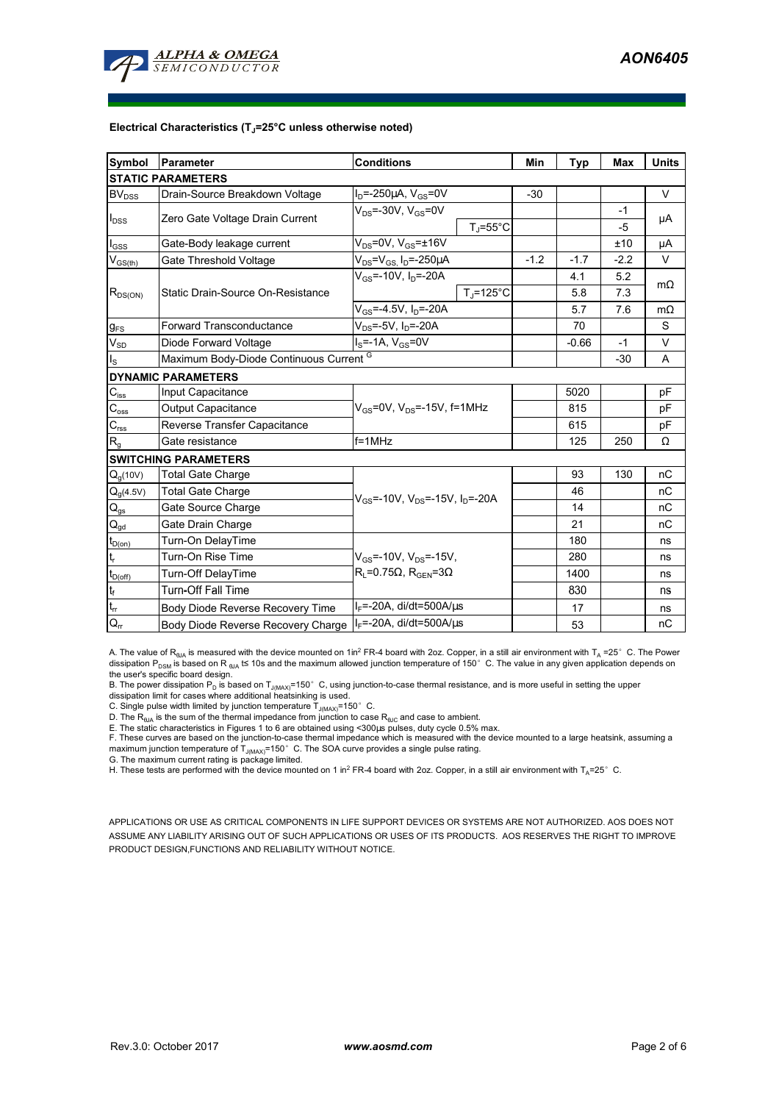

#### **Electrical Characteristics (TJ=25°C unless otherwise noted)**

| Symbol                                 | Parameter                                                                 | <b>Conditions</b>                                |                     | Min    | <b>Typ</b> | <b>Max</b> | <b>Units</b> |  |  |  |  |  |  |
|----------------------------------------|---------------------------------------------------------------------------|--------------------------------------------------|---------------------|--------|------------|------------|--------------|--|--|--|--|--|--|
| <b>STATIC PARAMETERS</b>               |                                                                           |                                                  |                     |        |            |            |              |  |  |  |  |  |  |
| $BV_{DSS}$                             | Drain-Source Breakdown Voltage                                            | $I_D = -250 \mu A$ , $V_{GS} = 0V$               |                     | $-30$  |            |            | V            |  |  |  |  |  |  |
| $I_{DSS}$                              | Zero Gate Voltage Drain Current                                           | $V_{DS}$ =-30V, $V_{GS}$ =0V                     |                     |        |            | $-1$       | μA           |  |  |  |  |  |  |
|                                        |                                                                           |                                                  | $T_J = 55^{\circ}C$ |        |            | $-5$       |              |  |  |  |  |  |  |
| $I_{GSS}$                              | Gate-Body leakage current                                                 | $V_{DS}$ =0V, $V_{GS}$ = $\pm$ 16V               |                     |        |            | ±10        | μA           |  |  |  |  |  |  |
| $V_{GS(th)}$                           | Gate Threshold Voltage                                                    | $V_{DS} = V_{GS} I_D = -250 \mu A$               |                     | $-1.2$ | $-1.7$     | $-2.2$     | V            |  |  |  |  |  |  |
| $R_{DS(ON)}$                           |                                                                           | $V_{GS}$ =-10V, $I_{D}$ =-20A                    |                     |        | 4.1        | 5.2        | $m\Omega$    |  |  |  |  |  |  |
|                                        | Static Drain-Source On-Resistance                                         |                                                  | $T_J = 125$ °C      |        | 5.8<br>7.3 |            |              |  |  |  |  |  |  |
|                                        |                                                                           | $\overline{V_{GS}}$ =-4.5V, I <sub>D</sub> =-20A |                     |        | 5.7        | 7.6        | $m\Omega$    |  |  |  |  |  |  |
| $g_{FS}$                               | $V_{DS} = -5V$ , $I_D = -20A$<br><b>Forward Transconductance</b>          |                                                  |                     |        | 70         |            | S            |  |  |  |  |  |  |
| $V_{SD}$                               | Diode Forward Voltage                                                     | $I_S = -1A$ , $V_{GS} = 0V$                      |                     |        |            | $-1$       | V            |  |  |  |  |  |  |
| $I_{\rm S}$                            | Maximum Body-Diode Continuous Current G                                   |                                                  |                     |        | $-30$      | A          |              |  |  |  |  |  |  |
|                                        | <b>DYNAMIC PARAMETERS</b>                                                 |                                                  |                     |        |            |            |              |  |  |  |  |  |  |
| $C_{\text{iss}}$                       | Input Capacitance                                                         |                                                  |                     |        | 5020       |            | pF           |  |  |  |  |  |  |
| $C_{\rm oss}$                          | $V_{GS}$ =0V, $V_{DS}$ =-15V, f=1MHz<br><b>Output Capacitance</b>         |                                                  |                     | 815    |            | рF         |              |  |  |  |  |  |  |
| $\mathbf{C}_{\text{rss}}$              | Reverse Transfer Capacitance                                              |                                                  |                     | 615    |            | pF         |              |  |  |  |  |  |  |
| R <sub>g</sub>                         | $f = 1$ MHz<br>Gate resistance                                            |                                                  |                     |        | 125        | 250        | Ω            |  |  |  |  |  |  |
|                                        | <b>SWITCHING PARAMETERS</b>                                               |                                                  |                     |        |            |            |              |  |  |  |  |  |  |
| $Q_q(10V)$                             | <b>Total Gate Charge</b>                                                  |                                                  |                     |        | 93         | 130        | nC           |  |  |  |  |  |  |
| $Q_q(4.5V)$                            | <b>Total Gate Charge</b><br>$V_{GS}$ =-10V, $V_{DS}$ =-15V, $I_{D}$ =-20A |                                                  |                     | 46     |            | nC         |              |  |  |  |  |  |  |
| $Q_{gs}$                               | Gate Source Charge                                                        |                                                  |                     |        | 14         |            | nC           |  |  |  |  |  |  |
| $\mathsf{Q}_{\underline{\mathsf{gd}}}$ | Gate Drain Charge                                                         |                                                  |                     | 21     |            | nC         |              |  |  |  |  |  |  |
| $t_{D(0n)}$                            | Turn-On DelayTime                                                         |                                                  |                     |        | 180        |            | ns           |  |  |  |  |  |  |
| t,                                     | Turn-On Rise Time                                                         | $V_{GS}$ =-10V, $V_{DS}$ =-15V,                  |                     |        | 280        |            | ns           |  |  |  |  |  |  |
| $t_{D(off)}$                           | Turn-Off DelayTime                                                        | $R_1 = 0.75\Omega$ , $R_{\text{GEN}} = 3\Omega$  |                     |        | 1400       |            | ns           |  |  |  |  |  |  |
| $\mathbf{t}_\text{f}$                  | <b>Turn-Off Fall Time</b>                                                 |                                                  |                     | 830    |            | ns         |              |  |  |  |  |  |  |
| $\mathsf{t}_{\mathsf{rr}}$             | Body Diode Reverse Recovery Time                                          | $I_F$ =-20A, di/dt=500A/ $\mu$ s                 |                     |        | 17         |            | ns           |  |  |  |  |  |  |
| $Q_{rr}$                               | $I_F$ =-20A, di/dt=500A/ $\mu$ s<br>Body Diode Reverse Recovery Charge    |                                                  |                     |        | 53         |            | nC           |  |  |  |  |  |  |

A. The value of R<sub>BJA</sub> is measured with the device mounted on 1in<sup>2</sup> FR-4 board with 2oz. Copper, in a still air environment with T<sub>A</sub> =25° C. The Power dissipation P<sub>DSM</sub> is based on R <sub>θJA</sub> t≤ 10s and the maximum allowed junction temperature of 150°C. The value in any given application depends on

the user's specific board design.<br>B. The power dissipation P<sub>D</sub> is based on T<sub>J(MAX)</sub>=150° C, using junction-to-case thermal resistance, and is more useful in setting the upper<br>dissipation limit for cases where additional

C. Single pulse width limited by junction temperature  $T_{J(MAX)}$ =150°C.

D. The R<sub>θJA</sub> is the sum of the thermal impedance from junction to case R<sub>θJC</sub> and case to ambient.<br>E. The static characteristics in Figures 1 to 6 are obtained using <300µs pulses, duty cycle 0.5% max.

F. These curves are based on the junction-to-case thermal impedance which is measured with the device mounted to a large heatsink, assuming a

maximum junction temperature of  $T_{J(MAX)}$ =150°C. The SOA curve provides a single pulse rating. G. The maximum current rating is package limited.

H. These tests are performed with the device mounted on 1 in<sup>2</sup> FR-4 board with 2oz. Copper, in a still air environment with T<sub>A</sub>=25°C.

APPLICATIONS OR USE AS CRITICAL COMPONENTS IN LIFE SUPPORT DEVICES OR SYSTEMS ARE NOT AUTHORIZED. AOS DOES NOT ASSUME ANY LIABILITY ARISING OUT OF SUCH APPLICATIONS OR USES OF ITS PRODUCTS. AOS RESERVES THE RIGHT TO IMPROVE PRODUCT DESIGN,FUNCTIONS AND RELIABILITY WITHOUT NOTICE.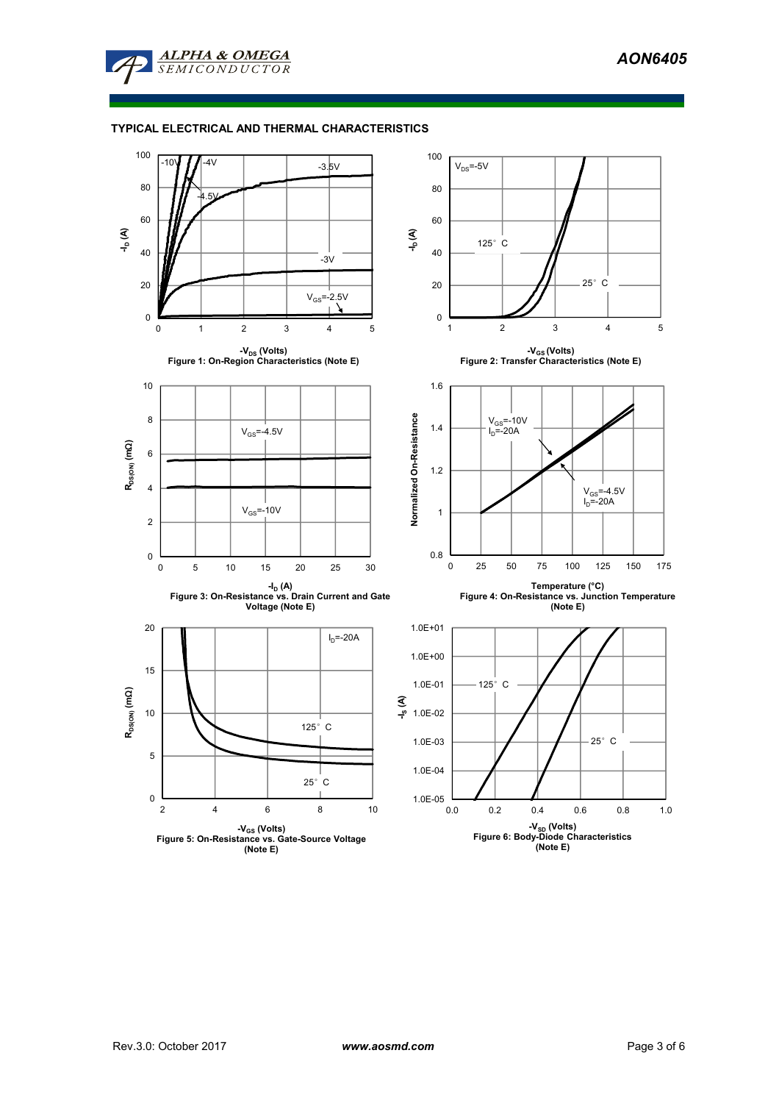

### **TYPICAL ELECTRICAL AND THERMAL CHARACTERISTICS**

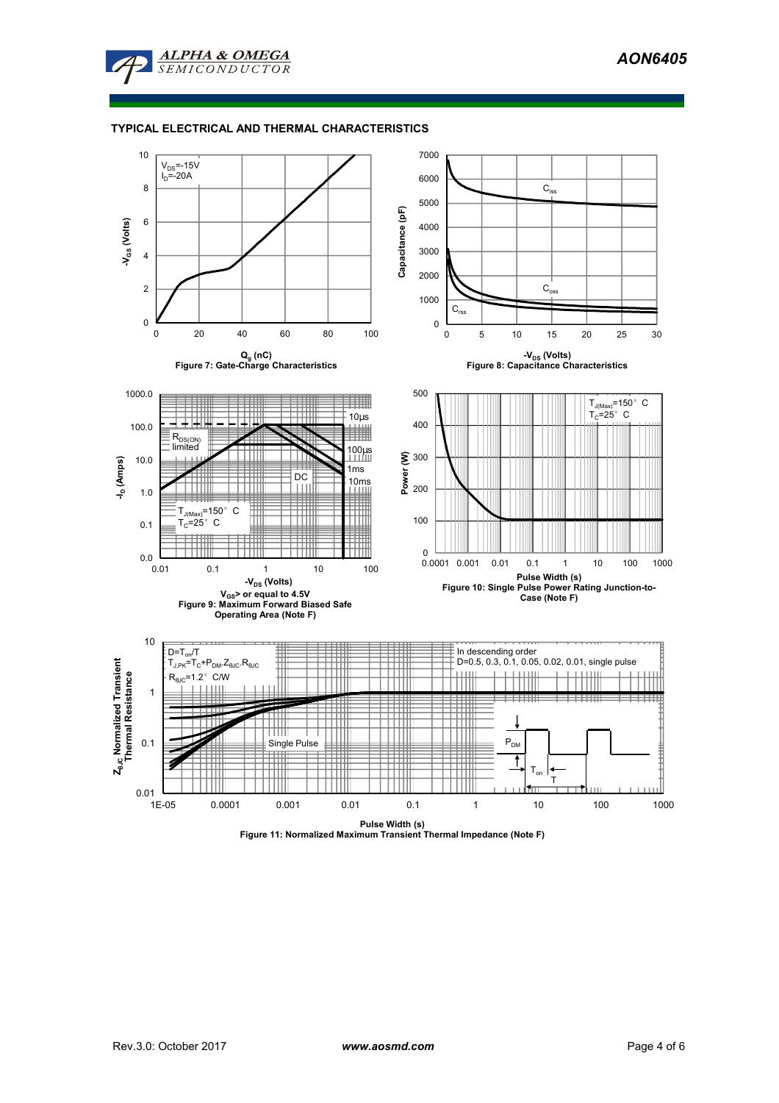

### **TYPICAL ELECTRICAL AND THERMAL CHARACTERISTICS**



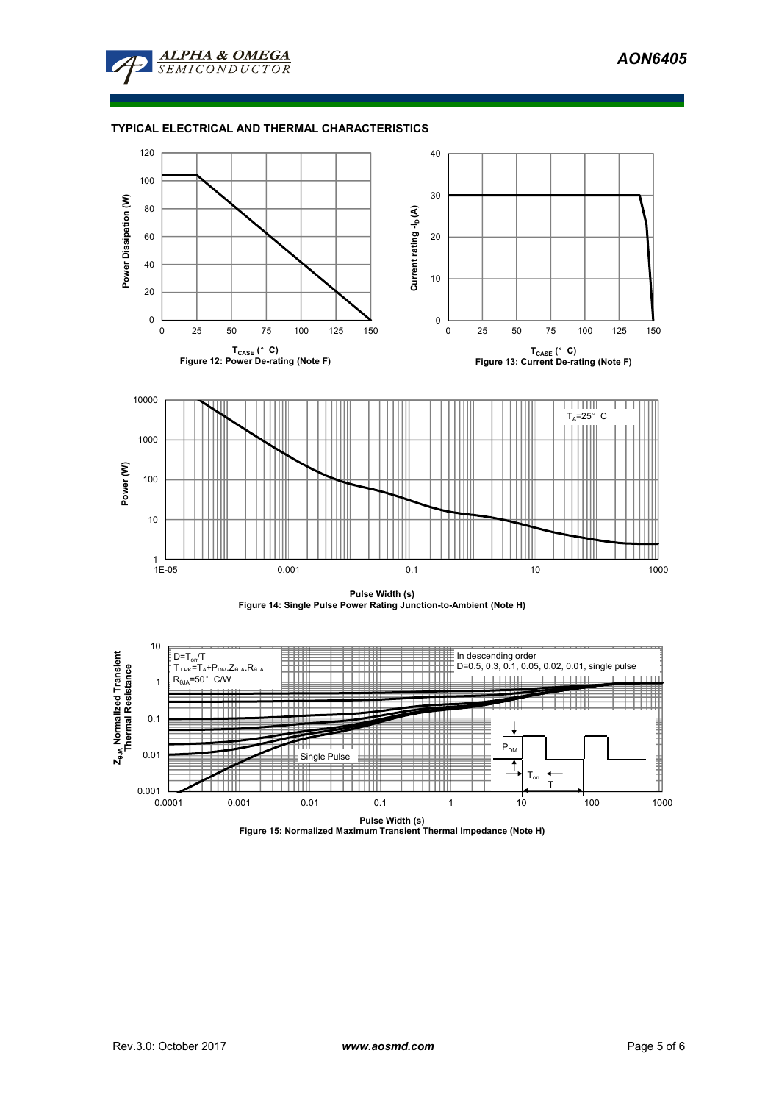

### **TYPICAL ELECTRICAL AND THERMAL CHARACTERISTICS**